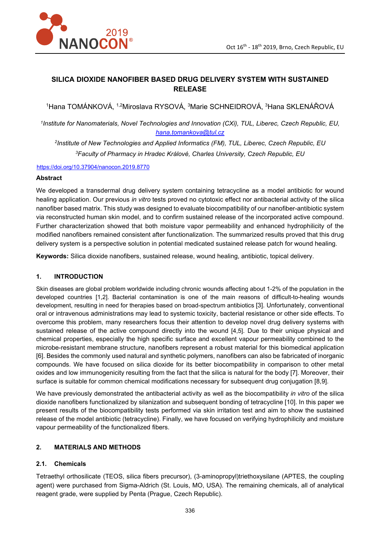

# **SILICA DIOXIDE NANOFIBER BASED DRUG DELIVERY SYSTEM WITH SUSTAINED RELEASE**

<sup>1</sup>Hana TOMÁNKOVÁ, <sup>1,2</sup>Miroslava RYSOVÁ, <sup>3</sup>Marie SCHNEIDROVÁ, <sup>3</sup>Hana SKLENÁŘOVÁ

*1 Institute for Nanomaterials, Novel Technologies and Innovation (CXi), TUL, Liberec, Czech Republic, EU, hana.tomankova@tul.cz*

*2 Institute of New Technologies and Applied Informatics (FM), TUL, Liberec, Czech Republic, EU <sup>3</sup>Faculty of Pharmacy in Hradec Králové, Charles University, Czech Republic, EU* 

#### https://doi.org/10.37904/nanocon.2019.8770

### **Abstract**

We developed a transdermal drug delivery system containing tetracycline as a model antibiotic for wound healing application. Our previous *in vitro* tests proved no cytotoxic effect nor antibacterial activity of the silica nanofiber based matrix. This study was designed to evaluate biocompatibility of our nanofiber-antibiotic system via reconstructed human skin model, and to confirm sustained release of the incorporated active compound. Further characterization showed that both moisture vapor permeability and enhanced hydrophilicity of the modified nanofibers remained consistent after functionalization. The summarized results proved that this drug delivery system is a perspective solution in potential medicated sustained release patch for wound healing.

**Keywords:** Silica dioxide nanofibers, sustained release, wound healing, antibiotic, topical delivery.

#### **1. INTRODUCTION**

Skin diseases are global problem worldwide including chronic wounds affecting about 1-2% of the population in the developed countries [1,2]. Bacterial contamination is one of the main reasons of difficult-to-healing wounds development, resulting in need for therapies based on broad-spectrum antibiotics [3]. Unfortunately, conventional oral or intravenous administrations may lead to systemic toxicity, bacterial resistance or other side effects. To overcome this problem, many researchers focus their attention to develop novel drug delivery systems with sustained release of the active compound directly into the wound [4,5]. Due to their unique physical and chemical properties, especially the high specific surface and excellent vapour permeability combined to the microbe-resistant membrane structure, nanofibers represent a robust material for this biomedical application [6]. Besides the commonly used natural and synthetic polymers, nanofibers can also be fabricated of inorganic compounds. We have focused on silica dioxide for its better biocompatibility in comparison to other metal oxides and low immunogenicity resulting from the fact that the silica is natural for the body [7]. Moreover, their surface is suitable for common chemical modifications necessary for subsequent drug conjugation [8,9].

We have previously demonstrated the antibacterial activity as well as the biocompatibility *in vitro* of the silica dioxide nanofibers functionalized by silanization and subsequent bonding of tetracycline [10]. In this paper we present results of the biocompatibility tests performed via skin irritation test and aim to show the sustained release of the model antibiotic (tetracycline). Finally, we have focused on verifying hydrophilicity and moisture vapour permeability of the functionalized fibers.

## **2. MATERIALS AND METHODS**

## **2.1. Chemicals**

Tetraethyl orthosilicate (TEOS, silica fibers precursor), (3-aminopropyl)triethoxysilane (APTES, the coupling agent) were purchased from Sigma-Aldrich (St. Louis, MO, USA). The remaining chemicals, all of analytical reagent grade, were supplied by Penta (Prague, Czech Republic).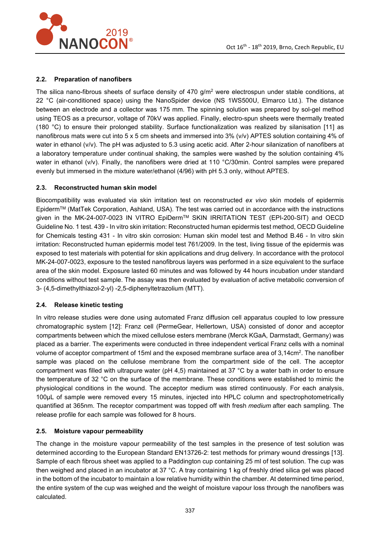

## **2.2. Preparation of nanofibers**

The silica nano-fibrous sheets of surface density of 470 g/m $^2$  were electrospun under stable conditions, at 22 °C (air-conditioned space) using the NanoSpider device (NS 1WS500U, Elmarco Ltd.). The distance between an electrode and a collector was 175 mm. The spinning solution was prepared by sol-gel method using TEOS as a precursor, voltage of 70kV was applied. Finally, electro-spun sheets were thermally treated (180 °C) to ensure their prolonged stability. Surface functionalization was realized by silanisation [11] as nanofibrous mats were cut into 5 x 5 cm sheets and immersed into 3% (v/v) APTES solution containing 4% of water in ethanol (v/v). The pH was adjusted to 5.3 using acetic acid. After 2-hour silanization of nanofibers at a laboratory temperature under continual shaking, the samples were washed by the solution containing 4% water in ethanol (v/v). Finally, the nanofibers were dried at 110 °C/30min. Control samples were prepared evenly but immersed in the mixture water/ethanol (4/96) with pH 5.3 only, without APTES.

## **2.3. Reconstructed human skin model**

Biocompatibility was evaluated via skin irritation test on reconstructed *ex vivo* skin models of epidermis EpidermTM (MatTek Corporation, Ashland, USA). The test was carried out in accordance with the instructions given in the MK-24-007-0023 IN VITRO EpiDerm™ SKIN IRRITATION TEST (EPI-200-SIT) and OECD Guideline No. 1 test. 439 - In vitro skin irritation: Reconstructed human epidermis test method, OECD Guideline for Chemicals testing 431 - In vitro skin corrosion: Human skin model test and Method B.46 - In vitro skin irritation: Reconstructed human epidermis model test 761/2009. In the test, living tissue of the epidermis was exposed to test materials with potential for skin applications and drug delivery. In accordance with the protocol MK-24-007-0023, exposure to the tested nanofibrous layers was performed in a size equivalent to the surface area of the skin model. Exposure lasted 60 minutes and was followed by 44 hours incubation under standard conditions without test sample. The assay was then evaluated by evaluation of active metabolic conversion of 3- (4,5-dimethylthiazol-2-yl) -2,5-diphenyltetrazolium (MTT).

# **2.4. Release kinetic testing**

In vitro release studies were done using automated Franz diffusion cell apparatus coupled to low pressure chromatographic system [12]: Franz cell (PermeGear, Hellertown, USA) consisted of donor and acceptor compartments between which the mixed cellulose esters membrane (Merck KGaA, Darmstadt, Germany) was placed as a barrier. The experiments were conducted in three independent vertical Franz cells with a nominal volume of acceptor compartment of 15ml and the exposed membrane surface area of 3,14cm<sup>2</sup> . The nanofiber sample was placed on the cellulose membrane from the compartment side of the cell. The acceptor compartment was filled with ultrapure water (pH 4,5) maintained at 37 °C by a water bath in order to ensure the temperature of 32 °C on the surface of the membrane. These conditions were established to mimic the physiological conditions in the wound. The acceptor medium was stirred continuously. For each analysis, 100µL of sample were removed every 15 minutes, injected into HPLC column and spectrophotometrically quantified at 365nm. The receptor compartment was topped off with fresh *medium* after each sampling. The release profile for each sample was followed for 8 hours.

## **2.5. Moisture vapour permeability**

The change in the moisture vapour permeability of the test samples in the presence of test solution was determined according to the European Standard EN13726-2: test methods for primary wound dressings [13]. Sample of each fibrous sheet was applied to a Paddington cup containing 25 ml of test solution. The cup was then weighed and placed in an incubator at 37 °C. A tray containing 1 kg of freshly dried silica gel was placed in the bottom of the incubator to maintain a low relative humidity within the chamber. At determined time period, the entire system of the cup was weighed and the weight of moisture vapour loss through the nanofibers was calculated.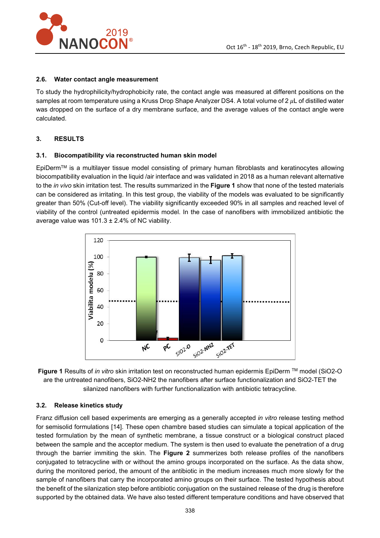

## **2.6. Water contact angle measurement**

To study the hydrophilicity/hydrophobicity rate, the contact angle was measured at different positions on the samples at room temperature using a Kruss Drop Shape Analyzer DS4. A total volume of  $2 \mu L$  of distilled water was dropped on the surface of a dry membrane surface, and the average values of the contact angle were calculated.

# **3. RESULTS**

## **3.1. Biocompatibility via reconstructed human skin model**

EpiDermTM is a multilayer tissue model consisting of primary human fibroblasts and keratinocytes allowing biocompatibility evaluation in the liquid /air interface and was validated in 2018 as a human relevant alternative to the *in vivo* skin irritation test. The results summarized in the **Figure 1** show that none of the tested materials can be considered as irritating. In this test group, the viability of the models was evaluated to be significantly greater than 50% (Cut-off level). The viability significantly exceeded 90% in all samples and reached level of viability of the control (untreated epidermis model. In the case of nanofibers with immobilized antibiotic the average value was  $101.3 \pm 2.4\%$  of NC viability.





# **3.2. Release kinetics study**

Franz diffusion cell based experiments are emerging as a generally accepted *in vitro* release testing method for semisolid formulations [14]. These open chambre based studies can simulate a topical application of the tested formulation by the mean of synthetic membrane, a tissue construct or a biological construct placed between the sample and the acceptor medium. The system is then used to evaluate the penetration of a drug through the barrier immiting the skin. The **Figure 2** summerizes both release profiles of the nanofibers conjugated to tetracycline with or without the amino groups incorporated on the surface. As the data show, during the monitored period, the amount of the antibiotic in the medium increases much more slowly for the sample of nanofibers that carry the incorporated amino groups on their surface. The tested hypothesis about the benefit of the silanization step before antibiotic conjugation on the sustained release of the drug is therefore supported by the obtained data. We have also tested different temperature conditions and have observed that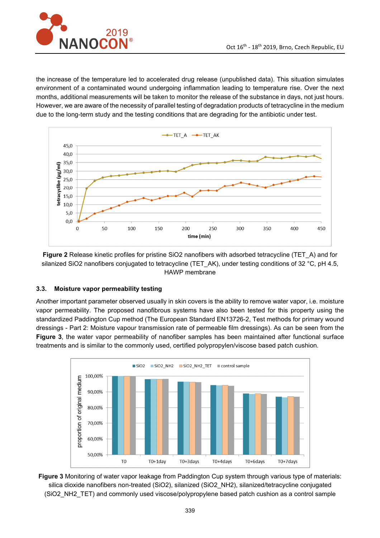

the increase of the temperature led to accelerated drug release (unpublished data). This situation simulates environment of a contaminated wound undergoing inflammation leading to temperature rise. Over the next months, additional measurements will be taken to monitor the release of the substance in days, not just hours. However, we are aware of the necessity of parallel testing of degradation products of tetracycline in the medium due to the long-term study and the testing conditions that are degrading for the antibiotic under test.



**Figure 2** Release kinetic profiles for pristine SiO2 nanofibers with adsorbed tetracycline (TET\_A) and for silanized SiO2 nanofibers conjugated to tetracycline (TET\_AK), under testing conditions of 32 °C, pH 4.5, HAWP membrane

# **3.3. Moisture vapor permeability testing**

Another important parameter observed usually in skin covers is the ability to remove water vapor, i.e. moisture vapor permeability. The proposed nanofibrous systems have also been tested for this property using the standardized Paddington Cup method (The European Standard EN13726-2, Test methods for primary wound dressings - Part 2: Moisture vapour transmission rate of permeable film dressings). As can be seen from the **Figure 3**, the water vapor permeability of nanofiber samples has been maintained after functional surface treatments and is similar to the commonly used, certified polypropylen/viscose based patch cushion.



**Figure 3** Monitoring of water vapor leakage from Paddington Cup system through various type of materials: silica dioxide nanofibers non-treated (SiO2), silanized (SiO2\_NH2), silanized/tetracycline conjugated (SiO2\_NH2\_TET) and commonly used viscose/polypropylene based patch cushion as a control sample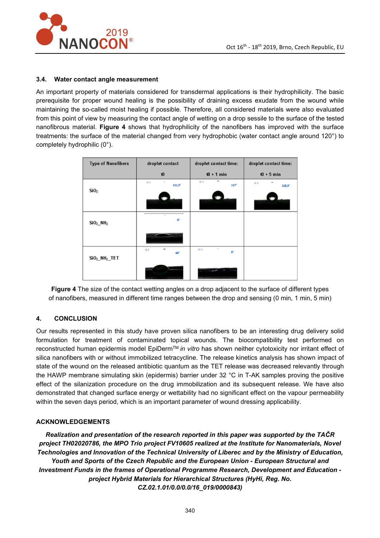

### **3.4. Water contact angle measurement**

An important property of materials considered for transdermal applications is their hydrophilicity. The basic prerequisite for proper wound healing is the possibility of draining excess exudate from the wound while maintaining the so-called moist healing if possible. Therefore, all considered materials were also evaluated from this point of view by measuring the contact angle of wetting on a drop sessile to the surface of the tested nanofibrous material. **Figure 4** shows that hydrophilicity of the nanofibers has improved with the surface treatments: the surface of the material changed from very hydrophobic (water contact angle around 120°) to completely hydrophilic (0°).

| <b>Type of Nanofibers</b>        | droplet contact             | droplet contact time:          | droplet contact time:       |
|----------------------------------|-----------------------------|--------------------------------|-----------------------------|
|                                  | t0                          | $10 + 1$ min                   | $10 + 5$ min                |
|                                  | $\mathfrak{m}$<br>$121,5^*$ | $\mathfrak{m}$<br>-<br>117°    | $\mathfrak{m}$<br>$118,3^*$ |
| SiO <sub>2</sub>                 |                             |                                |                             |
| SiO <sub>2</sub> NH <sub>2</sub> | o.                          |                                |                             |
|                                  |                             |                                |                             |
|                                  | $\mathbb{R}^n$<br>40°       | $\sim$<br>請單<br>O <sup>o</sup> |                             |
| $SiO2NH2$ TET                    |                             |                                |                             |
|                                  |                             | <b>Contract</b>                |                             |

**Figure 4** The size of the contact wetting angles on a drop adjacent to the surface of different types of nanofibers, measured in different time ranges between the drop and sensing (0 min, 1 min, 5 min)

## **4. CONCLUSION**

Our results represented in this study have proven silica nanofibers to be an interesting drug delivery solid formulation for treatment of contaminated topical wounds. The biocompatibility test performed on reconstructed human epidermis model EpiDermTM *in vitro* has shown neither cytotoxicity nor irritant effect of silica nanofibers with or without immobilized tetracycline. The release kinetics analysis has shown impact of state of the wound on the released antibiotic quantum as the TET release was decreased relevantly through the HAWP membrane simulating skin (epidermis) barrier under 32 °C in T-AK samples proving the positive effect of the silanization procedure on the drug immobilization and its subsequent release. We have also demonstrated that changed surface energy or wettability had no significant effect on the vapour permeability within the seven days period, which is an important parameter of wound dressing applicability.

#### **ACKNOWLEDGEMENTS**

*Realization and presentation of the research reported in this paper was supported by the TAČR project TH02020786, the MPO Trio project FV10605 realized at the Institute for Nanomaterials, Novel Technologies and Innovation of the Technical University of Liberec and by the Ministry of Education, Youth and Sports of the Czech Republic and the European Union - European Structural and Investment Funds in the frames of Operational Programme Research, Development and Education project Hybrid Materials for Hierarchical Structures (HyHi, Reg. No. CZ.02.1.01/0.0/0.0/16\_019/0000843)*